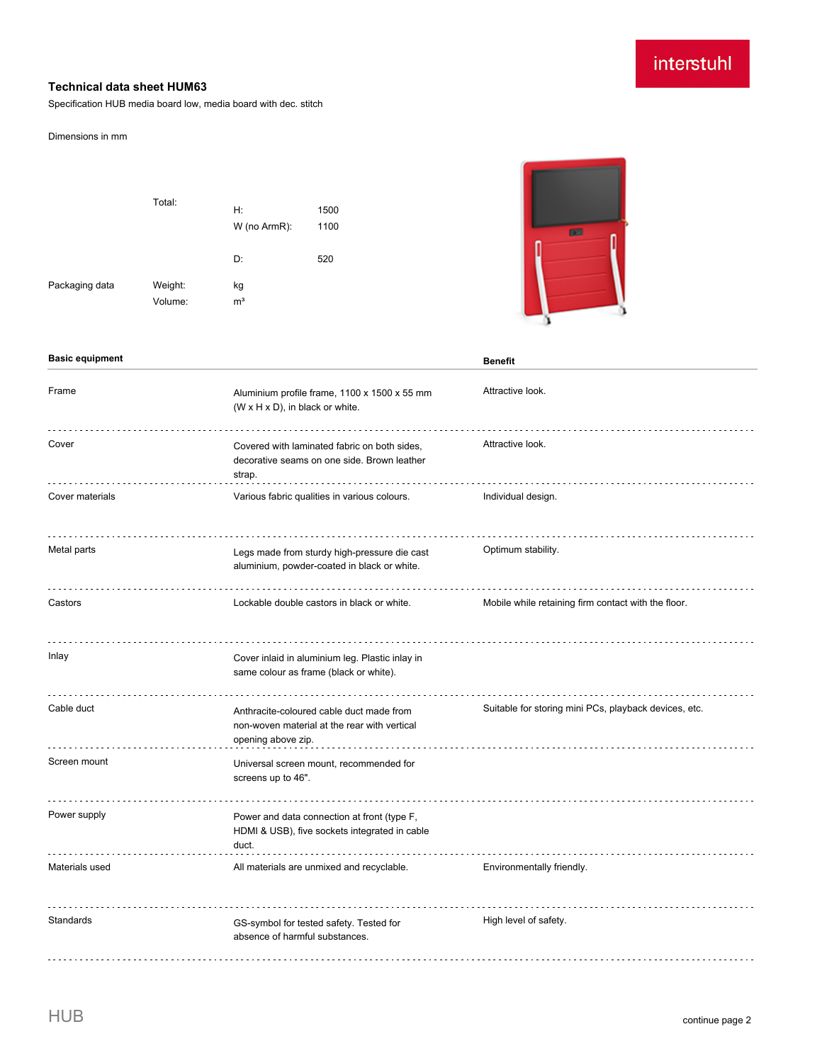# interstuhl

### **Technical data sheet HUM63**

Specification HUB media board low, media board with dec. stitch

#### Dimensions in mm

|                | Total:             | H:<br>W (no ArmR):   | 1500<br>1100 |
|----------------|--------------------|----------------------|--------------|
|                |                    | D:                   | 520          |
| Packaging data | Weight:<br>Volume: | kg<br>m <sup>3</sup> |              |



| <b>Basic equipment</b> |                                                                                                                | <b>Benefit</b>                                        |
|------------------------|----------------------------------------------------------------------------------------------------------------|-------------------------------------------------------|
| Frame                  | Aluminium profile frame, 1100 x 1500 x 55 mm<br>(W x H x D), in black or white.                                | Attractive look.                                      |
| Cover                  | Covered with laminated fabric on both sides,<br>decorative seams on one side. Brown leather<br>strap.          | Attractive look.                                      |
| Cover materials        | Various fabric qualities in various colours.                                                                   | Individual design.                                    |
| Metal parts            | Legs made from sturdy high-pressure die cast<br>aluminium, powder-coated in black or white.                    | Optimum stability.                                    |
| Castors                | Lockable double castors in black or white.                                                                     | Mobile while retaining firm contact with the floor.   |
| Inlay                  | Cover inlaid in aluminium leg. Plastic inlay in<br>same colour as frame (black or white).                      |                                                       |
| Cable duct             | Anthracite-coloured cable duct made from<br>non-woven material at the rear with vertical<br>opening above zip. | Suitable for storing mini PCs, playback devices, etc. |
| Screen mount           | Universal screen mount, recommended for<br>screens up to 46".                                                  |                                                       |
| Power supply           | Power and data connection at front (type F,<br>HDMI & USB), five sockets integrated in cable<br>duct.          |                                                       |
| Materials used         | All materials are unmixed and recyclable.                                                                      | Environmentally friendly.                             |
| Standards              | GS-symbol for tested safety. Tested for<br>absence of harmful substances.                                      | High level of safety.                                 |

 $\sim$   $\sim$   $\sim$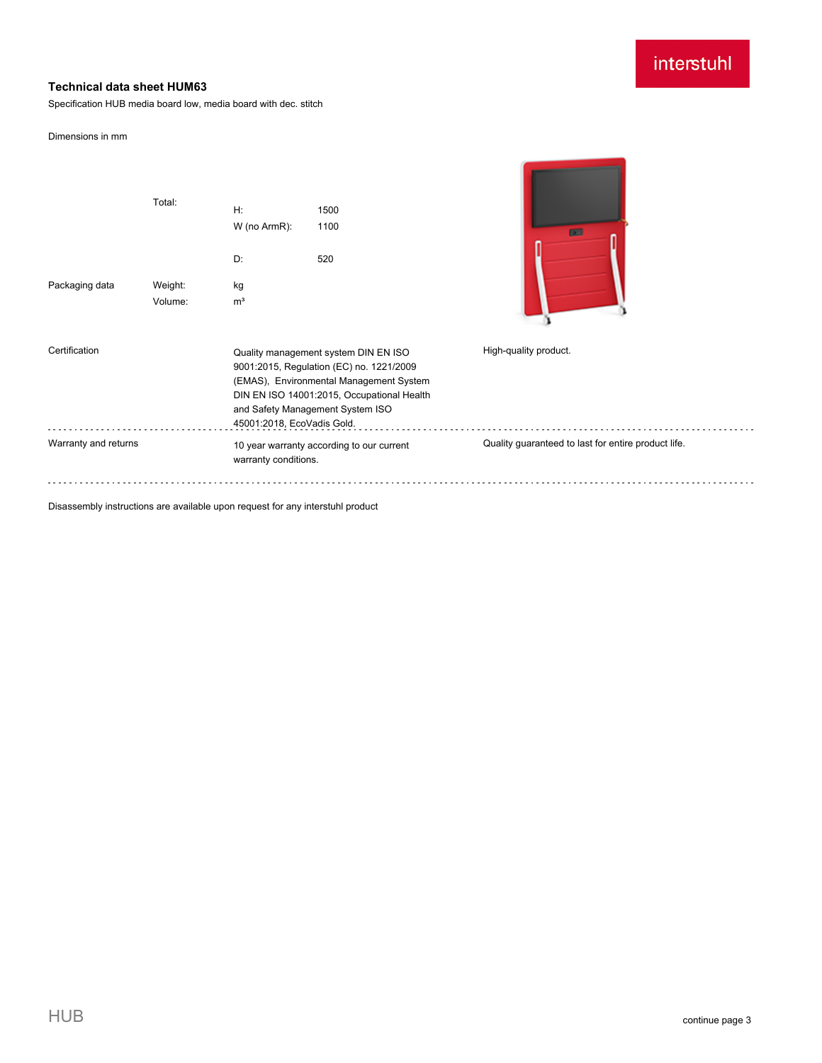# interstuhl

## **Technical data sheet HUM63**

Specification HUB media board low, media board with dec. stitch

#### Dimensions in mm

|                      | Total:             | H:<br>W (no ArmR):<br>D:                                          | 1500<br>1100<br>520                                                                                                                                                                                           | <b>DEL</b>                                          |  |
|----------------------|--------------------|-------------------------------------------------------------------|---------------------------------------------------------------------------------------------------------------------------------------------------------------------------------------------------------------|-----------------------------------------------------|--|
| Packaging data       | Weight:<br>Volume: | kg<br>m <sup>3</sup>                                              |                                                                                                                                                                                                               |                                                     |  |
| Certification        |                    | 45001:2018, EcoVadis Gold.                                        | Quality management system DIN EN ISO<br>9001:2015, Regulation (EC) no. 1221/2009<br>(EMAS), Environmental Management System<br>DIN EN ISO 14001:2015, Occupational Health<br>and Safety Management System ISO | High-quality product.                               |  |
| Warranty and returns |                    | 10 year warranty according to our current<br>warranty conditions. |                                                                                                                                                                                                               | Quality guaranteed to last for entire product life. |  |

Disassembly instructions are available upon request for any interstuhl product